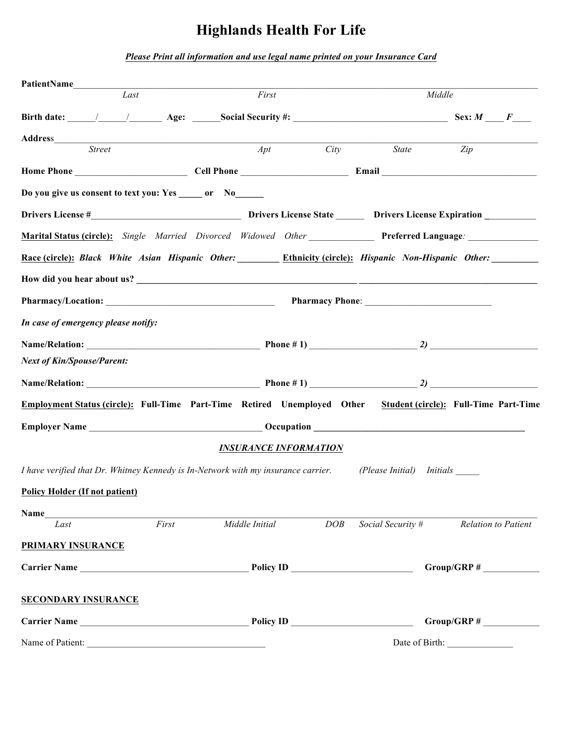# **Highlands Health For Life**

*Please Print all information and use legal name printed on your Insurance Card*

| PatientName                                                                                       |                   |                                                         |                |                              |  |                           |                                       |                            |
|---------------------------------------------------------------------------------------------------|-------------------|---------------------------------------------------------|----------------|------------------------------|--|---------------------------|---------------------------------------|----------------------------|
|                                                                                                   | $\overline{Last}$ |                                                         | First          |                              |  |                           | Middle                                |                            |
|                                                                                                   |                   | Birth date: $\sqrt{2}$ Age: Social Security #: Sex: M F |                |                              |  |                           |                                       |                            |
|                                                                                                   |                   |                                                         |                |                              |  |                           |                                       |                            |
| <b>Street</b>                                                                                     |                   |                                                         | Apt            |                              |  | City State                | Zip                                   |                            |
|                                                                                                   |                   |                                                         |                |                              |  |                           |                                       |                            |
| Do you give us consent to text you: Yes ______ or No_____                                         |                   |                                                         |                |                              |  |                           |                                       |                            |
|                                                                                                   |                   |                                                         |                |                              |  |                           |                                       |                            |
| Marital Status (circle): Single Married Divorced Widowed Other Preferred Language:                |                   |                                                         |                |                              |  |                           |                                       |                            |
| Race (circle): Black White Asian Hispanic Other: Ethnicity (circle): Hispanic Non-Hispanic Other: |                   |                                                         |                |                              |  |                           |                                       |                            |
|                                                                                                   |                   |                                                         |                |                              |  |                           |                                       |                            |
|                                                                                                   |                   |                                                         |                |                              |  |                           |                                       |                            |
| In case of emergency please notify:                                                               |                   |                                                         |                |                              |  |                           |                                       |                            |
|                                                                                                   |                   |                                                         |                |                              |  |                           |                                       |                            |
| <b>Next of Kin/Spouse/Parent:</b>                                                                 |                   |                                                         |                |                              |  |                           |                                       |                            |
|                                                                                                   |                   |                                                         |                |                              |  |                           |                                       |                            |
| Employment Status (circle): Full-Time Part-Time Retired Unemployed Other                          |                   |                                                         |                |                              |  |                           | Student (circle): Full-Time Part-Time |                            |
|                                                                                                   |                   |                                                         |                |                              |  |                           |                                       |                            |
|                                                                                                   |                   |                                                         |                | <b>INSURANCE INFORMATION</b> |  |                           |                                       |                            |
| I have verified that Dr. Whitney Kennedy is In-Network with my insurance carrier.                 |                   |                                                         |                |                              |  | (Please Initial) Initials |                                       |                            |
| <b>Policy Holder (If not patient)</b>                                                             |                   |                                                         |                |                              |  |                           |                                       |                            |
|                                                                                                   |                   |                                                         |                |                              |  |                           |                                       |                            |
| Last                                                                                              | First             |                                                         | Middle Initial | DOB                          |  | Social Security #         |                                       | <b>Relation to Patient</b> |
| <b>PRIMARY INSURANCE</b>                                                                          |                   |                                                         |                |                              |  |                           |                                       |                            |
| Carrier Name                                                                                      |                   |                                                         |                |                              |  |                           |                                       |                            |
| <b>SECONDARY INSURANCE</b>                                                                        |                   |                                                         |                |                              |  |                           |                                       |                            |
| Carrier Name                                                                                      |                   |                                                         |                |                              |  |                           |                                       |                            |
| Name of Patient:                                                                                  |                   |                                                         |                |                              |  |                           |                                       |                            |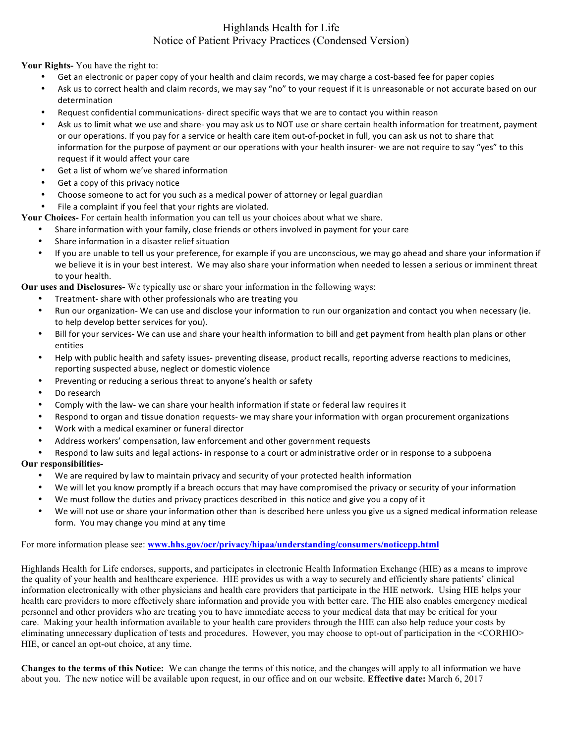### Highlands Health for Life Notice of Patient Privacy Practices (Condensed Version)

**Your Rights-** You have the right to:

- Get an electronic or paper copy of your health and claim records, we may charge a cost-based fee for paper copies
- Ask us to correct health and claim records, we may say "no" to your request if it is unreasonable or not accurate based on our determination
- Request confidential communications- direct specific ways that we are to contact you within reason
- Ask us to limit what we use and share- you may ask us to NOT use or share certain health information for treatment, payment or our operations. If you pay for a service or health care item out-of-pocket in full, you can ask us not to share that information for the purpose of payment or our operations with your health insurer- we are not require to say "yes" to this request if it would affect your care
- Get a list of whom we've shared information
- Get a copy of this privacy notice
- Choose someone to act for you such as a medical power of attorney or legal guardian
- File a complaint if you feel that your rights are violated.
- **Your Choices-** For certain health information you can tell us your choices about what we share.
	- Share information with your family, close friends or others involved in payment for your care
		- Share information in a disaster relief situation
	- If you are unable to tell us your preference, for example if you are unconscious, we may go ahead and share your information if we believe it is in your best interest. We may also share your information when needed to lessen a serious or imminent threat to your health.

**Our uses and Disclosures-** We typically use or share your information in the following ways:

- Treatment- share with other professionals who are treating you
- Run our organization- We can use and disclose your information to run our organization and contact you when necessary (ie. to help develop better services for you).
- Bill for your services- We can use and share your health information to bill and get payment from health plan plans or other entities
- Help with public health and safety issues- preventing disease, product recalls, reporting adverse reactions to medicines, reporting suspected abuse, neglect or domestic violence
- Preventing or reducing a serious threat to anyone's health or safety
- Do research
- Comply with the law- we can share your health information if state or federal law requires it
- Respond to organ and tissue donation requests- we may share your information with organ procurement organizations
- Work with a medical examiner or funeral director
- Address workers' compensation, law enforcement and other government requests
- Respond to law suits and legal actions- in response to a court or administrative order or in response to a subpoena

#### **Our responsibilities-**

- We are required by law to maintain privacy and security of your protected health information
- We will let you know promptly if a breach occurs that may have compromised the privacy or security of your information
- We must follow the duties and privacy practices described in this notice and give you a copy of it
- We will not use or share your information other than is described here unless you give us a signed medical information release form. You may change you mind at any time

#### For more information please see: **www.hhs.gov/ocr/privacy/hipaa/understanding/consumers/noticepp.html**

Highlands Health for Life endorses, supports, and participates in electronic Health Information Exchange (HIE) as a means to improve the quality of your health and healthcare experience. HIE provides us with a way to securely and efficiently share patients' clinical information electronically with other physicians and health care providers that participate in the HIE network. Using HIE helps your health care providers to more effectively share information and provide you with better care. The HIE also enables emergency medical personnel and other providers who are treating you to have immediate access to your medical data that may be critical for your care. Making your health information available to your health care providers through the HIE can also help reduce your costs by eliminating unnecessary duplication of tests and procedures. However, you may choose to opt-out of participation in the <CORHIO> HIE, or cancel an opt-out choice, at any time.

**Changes to the terms of this Notice:** We can change the terms of this notice, and the changes will apply to all information we have about you. The new notice will be available upon request, in our office and on our website. **Effective date:** March 6, 2017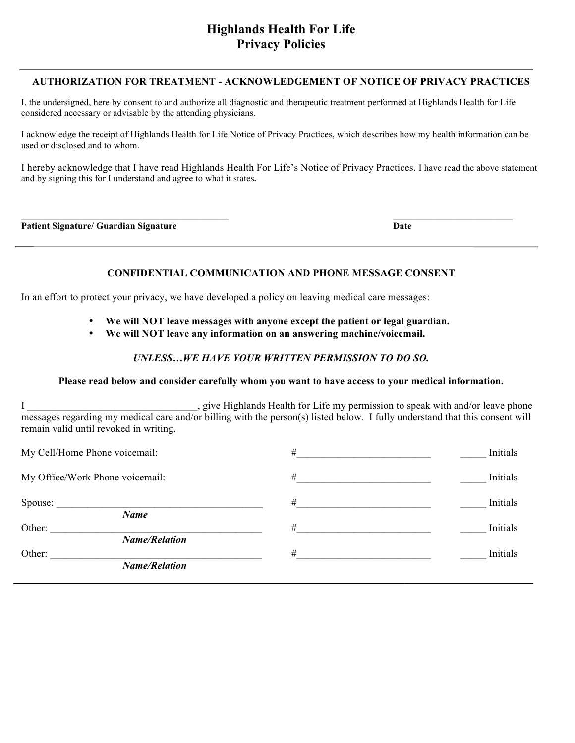#### **AUTHORIZATION FOR TREATMENT - ACKNOWLEDGEMENT OF NOTICE OF PRIVACY PRACTICES**

I, the undersigned, here by consent to and authorize all diagnostic and therapeutic treatment performed at Highlands Health for Life considered necessary or advisable by the attending physicians.

I acknowledge the receipt of Highlands Health for Life Notice of Privacy Practices, which describes how my health information can be used or disclosed and to whom.

I hereby acknowledge that I have read Highlands Health For Life's Notice of Privacy Practices. I have read the above statement and by signing this for I understand and agree to what it states**.** 

**Patient Signature/ Guardian Signature Date**

#### **CONFIDENTIAL COMMUNICATION AND PHONE MESSAGE CONSENT**

In an effort to protect your privacy, we have developed a policy on leaving medical care messages:

- **We will NOT leave messages with anyone except the patient or legal guardian.**
- **We will NOT leave any information on an answering machine/voicemail.**

#### *UNLESS…WE HAVE YOUR WRITTEN PERMISSION TO DO SO.*

#### **Please read below and consider carefully whom you want to have access to your medical information.**

I \_\_\_\_\_\_\_\_\_\_\_\_\_\_\_\_\_\_\_\_\_\_\_\_\_\_\_\_\_, give Highlands Health for Life my permission to speak with and/or leave phone messages regarding my medical care and/or billing with the person(s) listed below. I fully understand that this consent will remain valid until revoked in writing.

| My Cell/Home Phone voicemail:   | #    | Initials |
|---------------------------------|------|----------|
| My Office/Work Phone voicemail: | #    | Initials |
| Spouse:<br><b>Name</b>          | $\#$ | Initials |
| Other:<br><b>Name/Relation</b>  | $\#$ | Initials |
| Other:<br><b>Name/Relation</b>  | $\#$ | Initials |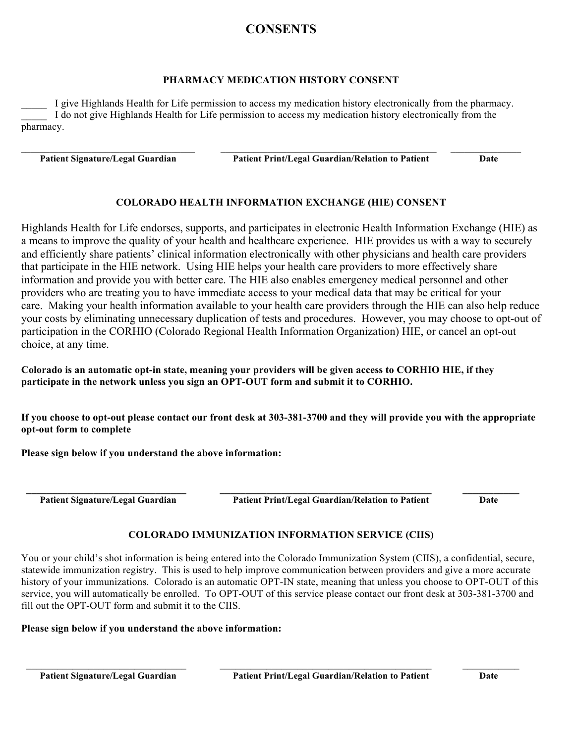## **CONSENTS**

#### **PHARMACY MEDICATION HISTORY CONSENT**

I give Highlands Health for Life permission to access my medication history electronically from the pharmacy. I do not give Highlands Health for Life permission to access my medication history electronically from the pharmacy.

 $\mathcal{L}_\text{max} = \frac{1}{2} \sum_{i=1}^n \mathcal{L}_\text{max} = \frac{1}{2} \sum_{i=1}^n \mathcal{L}_\text{max} = \frac{1}{2} \sum_{i=1}^n \mathcal{L}_\text{max} = \frac{1}{2} \sum_{i=1}^n \mathcal{L}_\text{max} = \frac{1}{2} \sum_{i=1}^n \mathcal{L}_\text{max} = \frac{1}{2} \sum_{i=1}^n \mathcal{L}_\text{max} = \frac{1}{2} \sum_{i=1}^n \mathcal{L}_\text{max} = \frac{1}{2} \sum_{i=$ 

 **Patient Signature/Legal Guardian Patient Print/Legal Guardian/Relation to Patient Date**

### **COLORADO HEALTH INFORMATION EXCHANGE (HIE) CONSENT**

Highlands Health for Life endorses, supports, and participates in electronic Health Information Exchange (HIE) as a means to improve the quality of your health and healthcare experience. HIE provides us with a way to securely and efficiently share patients' clinical information electronically with other physicians and health care providers that participate in the HIE network. Using HIE helps your health care providers to more effectively share information and provide you with better care. The HIE also enables emergency medical personnel and other providers who are treating you to have immediate access to your medical data that may be critical for your care. Making your health information available to your health care providers through the HIE can also help reduce your costs by eliminating unnecessary duplication of tests and procedures. However, you may choose to opt-out of participation in the CORHIO (Colorado Regional Health Information Organization) HIE, or cancel an opt-out choice, at any time.

**Colorado is an automatic opt-in state, meaning your providers will be given access to CORHIO HIE, if they participate in the network unless you sign an OPT-OUT form and submit it to CORHIO.**

**If you choose to opt-out please contact our front desk at 303-381-3700 and they will provide you with the appropriate opt-out form to complete**

**Please sign below if you understand the above information:**

 **\_\_\_\_\_\_\_\_\_\_\_\_\_\_\_\_\_\_\_\_\_\_\_\_\_\_\_\_\_\_\_ \_\_\_\_\_\_\_\_\_\_\_\_\_\_\_\_\_\_\_\_\_\_\_\_\_\_\_\_\_\_\_\_\_\_\_\_\_\_\_\_\_ \_\_\_\_\_\_\_\_\_\_\_**

 **Patient Signature/Legal Guardian Patient Print/Legal Guardian/Relation to Patient Date**

### **COLORADO IMMUNIZATION INFORMATION SERVICE (CIIS)**

You or your child's shot information is being entered into the Colorado Immunization System (CIIS), a confidential, secure, statewide immunization registry. This is used to help improve communication between providers and give a more accurate history of your immunizations. Colorado is an automatic OPT-IN state, meaning that unless you choose to OPT-OUT of this service, you will automatically be enrolled. To OPT-OUT of this service please contact our front desk at 303-381-3700 and fill out the OPT-OUT form and submit it to the CIIS

 **\_\_\_\_\_\_\_\_\_\_\_\_\_\_\_\_\_\_\_\_\_\_\_\_\_\_\_\_\_\_\_ \_\_\_\_\_\_\_\_\_\_\_\_\_\_\_\_\_\_\_\_\_\_\_\_\_\_\_\_\_\_\_\_\_\_\_\_\_\_\_\_\_ \_\_\_\_\_\_\_\_\_\_\_**

### **Please sign below if you understand the above information:**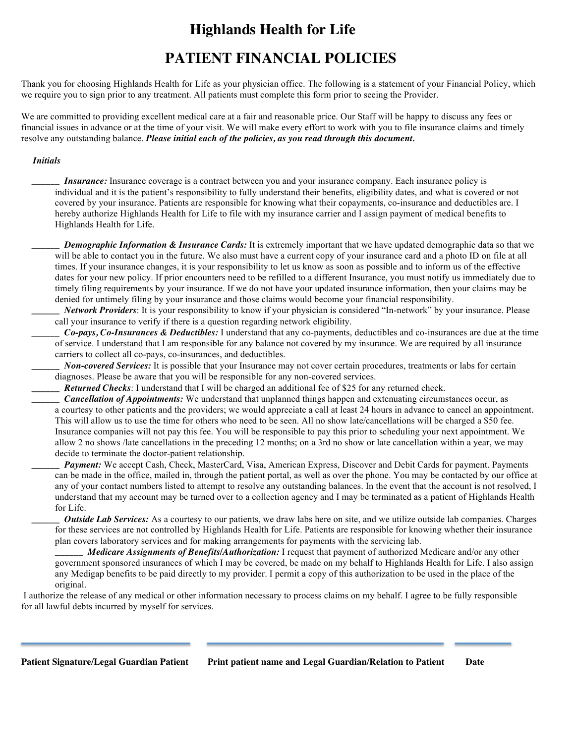## **Highlands Health for Life**

## **PATIENT FINANCIAL POLICIES**

Thank you for choosing Highlands Health for Life as your physician office. The following is a statement of your Financial Policy, which we require you to sign prior to any treatment. All patients must complete this form prior to seeing the Provider.

We are committed to providing excellent medical care at a fair and reasonable price. Our Staff will be happy to discuss any fees or financial issues in advance or at the time of your visit. We will make every effort to work with you to file insurance claims and timely resolve any outstanding balance. *Please initial each of the policies, as you read through this document.* 

#### *Initials*

*Insurance:* Insurance coverage is a contract between you and your insurance company. Each insurance policy is individual and it is the patient's responsibility to fully understand their benefits, eligibility dates, and what is covered or not covered by your insurance. Patients are responsible for knowing what their copayments, co-insurance and deductibles are. I hereby authorize Highlands Health for Life to file with my insurance carrier and I assign payment of medical benefits to Highlands Health for Life.

*Demographic Information & Insurance Cards:* It is extremely important that we have updated demographic data so that we will be able to contact you in the future. We also must have a current copy of your insurance card and a photo ID on file at all times. If your insurance changes, it is your responsibility to let us know as soon as possible and to inform us of the effective dates for your new policy. If prior encounters need to be refilled to a different Insurance, you must notify us immediately due to timely filing requirements by your insurance. If we do not have your updated insurance information, then your claims may be denied for untimely filing by your insurance and those claims would become your financial responsibility.

*Network Providers*: It is your responsibility to know if your physician is considered "In-network" by your insurance. Please call your insurance to verify if there is a question regarding network eligibility.

*\_\_\_\_\_\_ Co-pays, Co-Insurances & Deductibles:* I understand that any co-payments, deductibles and co-insurances are due at the time of service. I understand that I am responsible for any balance not covered by my insurance. We are required by all insurance carriers to collect all co-pays, co-insurances, and deductibles.

*Non-covered Services:* It is possible that your Insurance may not cover certain procedures, treatments or labs for certain diagnoses. Please be aware that you will be responsible for any non-covered services.

*Returned Checks*: I understand that I will be charged an additional fee of \$25 for any returned check.

*\_\_\_\_\_\_ Cancellation of Appointments:* We understand that unplanned things happen and extenuating circumstances occur, as a courtesy to other patients and the providers; we would appreciate a call at least 24 hours in advance to cancel an appointment. This will allow us to use the time for others who need to be seen. All no show late/cancellations will be charged a \$50 fee. Insurance companies will not pay this fee. You will be responsible to pay this prior to scheduling your next appointment. We allow 2 no shows /late cancellations in the preceding 12 months; on a 3rd no show or late cancellation within a year, we may decide to terminate the doctor-patient relationship.

*Payment: We accept Cash, Check, MasterCard, Visa, American Express, Discover and Debit Cards for payment. Payments* can be made in the office, mailed in, through the patient portal, as well as over the phone. You may be contacted by our office at any of your contact numbers listed to attempt to resolve any outstanding balances. In the event that the account is not resolved, I understand that my account may be turned over to a collection agency and I may be terminated as a patient of Highlands Health for Life.

*Outside Lab Services:* As a courtesy to our patients, we draw labs here on site, and we utilize outside lab companies. Charges for these services are not controlled by Highlands Health for Life. Patients are responsible for knowing whether their insurance plan covers laboratory services and for making arrangements for payments with the servicing lab.

*Medicare Assignments of Benefits/Authorization:* I request that payment of authorized Medicare and/or any other government sponsored insurances of which I may be covered, be made on my behalf to Highlands Health for Life. I also assign any Medigap benefits to be paid directly to my provider. I permit a copy of this authorization to be used in the place of the original.

I authorize the release of any medical or other information necessary to process claims on my behalf. I agree to be fully responsible for all lawful debts incurred by myself for services.